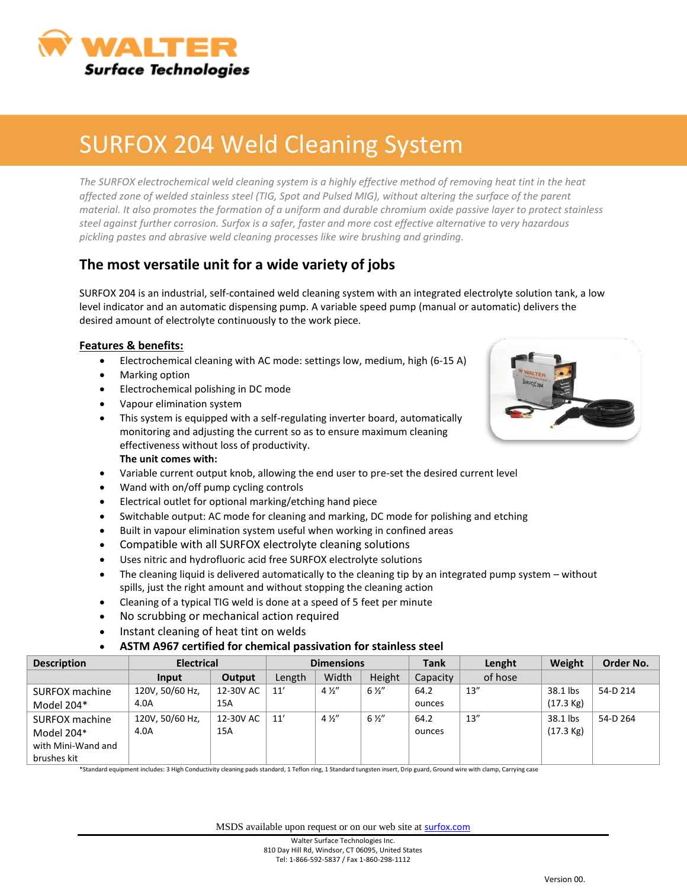

## SURFOX 204 Weld Cleaning System

The SURFOX electrochemical weld cleaning system is a highly effective method of removing heat tint in the heat *affected zone of welded stainless steel (TIG, Spot and Pulsed MIG), without altering the surface of the parent material. It also promotes the formation of a uniform and durable chromium oxide passive layer to protect stainless steel against further corrosion. Surfox is a safer, faster and more cost effective alternative to very hazardous pickling pastes and abrasive weld cleaning processes like wire brushing and grinding.*

### **The most versatile unit for a wide variety of jobs**

SURFOX 204 is an industrial, self-contained weld cleaning system with an integrated electrolyte solution tank, a low level indicator and an automatic dispensing pump. A variable speed pump (manual or automatic) delivers the desired amount of electrolyte continuously to the work piece.

#### **Features & benefits:**

- Electrochemical cleaning with AC mode: settings low, medium, high (6-15 A)
- Marking option
- **Electrochemical polishing in DC mode**
- Vapour elimination system
- This system is equipped with a self-regulating inverter board, automatically monitoring and adjusting the current so as to ensure maximum cleaning effectiveness without loss of productivity. **The unit comes with:**
- Variable current output knob, allowing the end user to pre-set the desired current level
- Wand with on/off pump cycling controls
- Electrical outlet for optional marking/etching hand piece
- Switchable output: AC mode for cleaning and marking, DC mode for polishing and etching
- Built in vapour elimination system useful when working in confined areas
- Compatible with all SURFOX electrolyte cleaning solutions
- Uses nitric and hydrofluoric acid free SURFOX electrolyte solutions
- The cleaning liquid is delivered automatically to the cleaning tip by an integrated pump system without spills, just the right amount and without stopping the cleaning action
- Cleaning of a typical TIG weld is done at a speed of 5 feet per minute
- No scrubbing or mechanical action required
- Instant cleaning of heat tint on welds

#### **ASTM A967 certified for chemical passivation for stainless steel**

| <b>Description</b> | <b>Electrical</b> |           | <b>Dimensions</b> |                |                | <b>Tank</b> | Lenght  | Weight              | Order No. |
|--------------------|-------------------|-----------|-------------------|----------------|----------------|-------------|---------|---------------------|-----------|
|                    | Input             | Output    | Length            | Width          | Height         | Capacity    | of hose |                     |           |
| SURFOX machine     | 120V, 50/60 Hz,   | 12-30V AC | 11'               | $4\frac{1}{2}$ | $6\frac{1}{2}$ | 64.2        | 13''    | 38.1 lbs            | 54-D 214  |
| Model 204*         | 4.0A              | 15A       |                   |                |                | ounces      |         | $(17.3 \text{ kg})$ |           |
| SURFOX machine     | 120V, 50/60 Hz,   | 12-30V AC | 11'               | $4\frac{1}{2}$ | $6\frac{1}{2}$ | 64.2        | 13''    | 38.1 lbs            | 54-D 264  |
| Model 204*         | 4.0A              | 15A       |                   |                |                | ounces      |         | $(17.3 \text{ kg})$ |           |
| with Mini-Wand and |                   |           |                   |                |                |             |         |                     |           |
| brushes kit        |                   |           |                   |                |                |             |         |                     |           |

\*Standard equipment includes: 3 High Conductivity cleaning pads standard, 1 Teflon ring, 1 Standard tungsten insert, Drip guard, Ground wire with clamp, Carrying case

MSDS available upon request or on our web site at **[surfox.com](http://www.surfox.com/)**